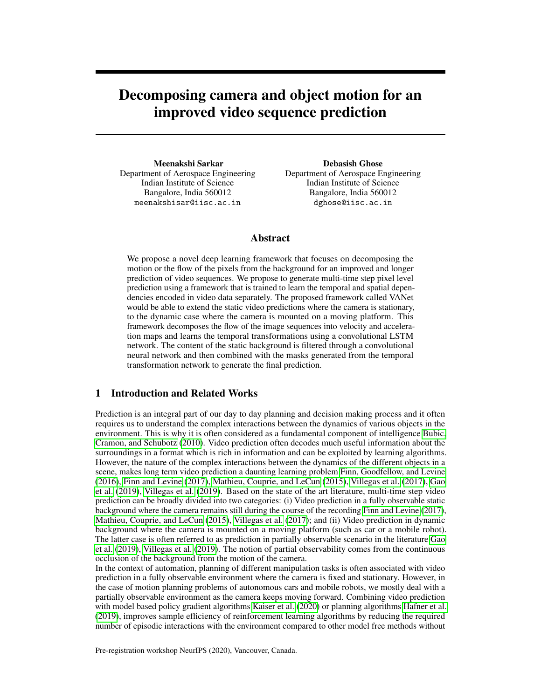# Decomposing camera and object motion for an improved video sequence prediction

Meenakshi Sarkar Department of Aerospace Engineering Indian Institute of Science Bangalore, India 560012 meenakshisar@iisc.ac.in

Debasish Ghose Department of Aerospace Engineering Indian Institute of Science Bangalore, India 560012 dghose@iisc.ac.in

# Abstract

We propose a novel deep learning framework that focuses on decomposing the motion or the flow of the pixels from the background for an improved and longer prediction of video sequences. We propose to generate multi-time step pixel level prediction using a framework that is trained to learn the temporal and spatial dependencies encoded in video data separately. The proposed framework called VANet would be able to extend the static video predictions where the camera is stationary, to the dynamic case where the camera is mounted on a moving platform. This framework decomposes the flow of the image sequences into velocity and acceleration maps and learns the temporal transformations using a convolutional LSTM network. The content of the static background is filtered through a convolutional neural network and then combined with the masks generated from the temporal transformation network to generate the final prediction.

# 1 Introduction and Related Works

Prediction is an integral part of our day to day planning and decision making process and it often requires us to understand the complex interactions between the dynamics of various objects in the environment. This is why it is often considered as a fundamental component of intelligence [Bubic,](#page-6-0) [Cramon, and Schubotz](#page-6-0) [\(2010\)](#page-6-0). Video prediction often decodes much useful information about the surroundings in a format which is rich in information and can be exploited by learning algorithms. However, the nature of the complex interactions between the dynamics of the different objects in a scene, makes long term video prediction a daunting learning problem [Finn, Goodfellow, and Levine](#page-6-1) [\(2016\)](#page-6-1), [Finn and Levine](#page-6-2) [\(2017\)](#page-6-2), [Mathieu, Couprie, and LeCun](#page-6-3) [\(2015\)](#page-6-3), [Villegas et al.](#page-7-0) [\(2017\)](#page-7-0), [Gao](#page-6-4) [et al.](#page-6-4) [\(2019\)](#page-6-4), [Villegas et al.](#page-7-1) [\(2019\)](#page-7-1). Based on the state of the art literature, multi-time step video prediction can be broadly divided into two categories: (i) Video prediction in a fully observable static background where the camera remains still during the course of the recording [Finn and Levine](#page-6-2) [\(2017\)](#page-6-2), [Mathieu, Couprie, and LeCun](#page-6-3) [\(2015\)](#page-6-3), [Villegas et al.](#page-7-0) [\(2017\)](#page-7-0); and (ii) Video prediction in dynamic background where the camera is mounted on a moving platform (such as car or a mobile robot). The latter case is often referred to as prediction in partially observable scenario in the literature [Gao](#page-6-4) [et al.](#page-6-4) [\(2019\)](#page-6-4), [Villegas et al.](#page-7-1) [\(2019\)](#page-7-1). The notion of partial observability comes from the continuous occlusion of the background from the motion of the camera.

In the context of automation, planning of different manipulation tasks is often associated with video prediction in a fully observable environment where the camera is fixed and stationary. However, in the case of motion planning problems of autonomous cars and mobile robots, we mostly deal with a partially observable environment as the camera keeps moving forward. Combining video prediction with model based policy gradient algorithms [Kaiser et al.](#page-6-5) [\(2020\)](#page-6-5) or planning algorithms [Hafner et al.](#page-6-6) [\(2019\)](#page-6-6), improves sample efficiency of reinforcement learning algorithms by reducing the required number of episodic interactions with the environment compared to other model free methods without

Pre-registration workshop NeurIPS (2020), Vancouver, Canada.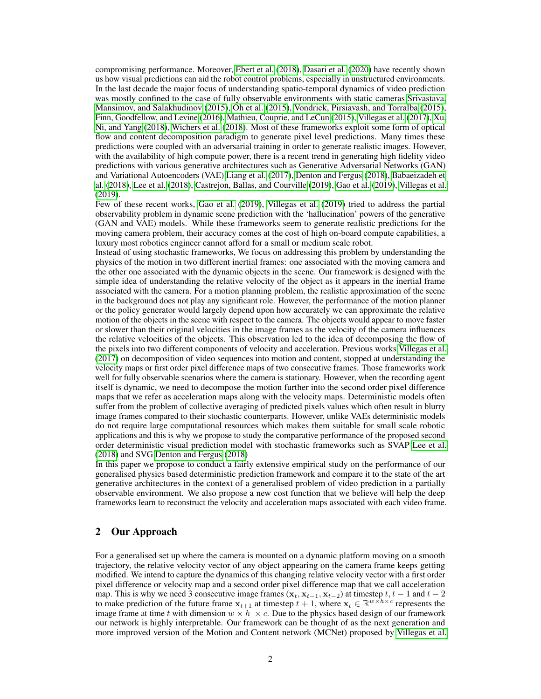compromising performance. Moreover, [Ebert et al.](#page-6-7) [\(2018\)](#page-6-7), [Dasari et al.](#page-6-8) [\(2020\)](#page-6-8) have recently shown us how visual predictions can aid the robot control problems, especially in unstructured environments. In the last decade the major focus of understanding spatio-temporal dynamics of video prediction was mostly confined to the case of fully observable environments with static cameras [Srivastava,](#page-7-2) [Mansimov, and Salakhudinov](#page-7-2) [\(2015\)](#page-7-2), [Oh et al.](#page-6-9) [\(2015\)](#page-6-9), [Vondrick, Pirsiavash, and Torralba](#page-7-3) [\(2015\)](#page-7-3), [Finn, Goodfellow, and Levine](#page-6-1) [\(2016\)](#page-6-1), [Mathieu, Couprie, and LeCun](#page-6-3) [\(2015\)](#page-6-3), [Villegas et al.](#page-7-0) [\(2017\)](#page-7-0), [Xu,](#page-7-4) [Ni, and Yang](#page-7-4) [\(2018\)](#page-7-4), [Wichers et al.](#page-7-5) [\(2018\)](#page-7-5). Most of these frameworks exploit some form of optical flow and content decomposition paradigm to generate pixel level predictions. Many times these predictions were coupled with an adversarial training in order to generate realistic images. However, with the availability of high compute power, there is a recent trend in generating high fidelity video predictions with various generative architectures such as Generative Adversarial Networks (GAN) and Variational Autoencoders (VAE) [Liang et al.](#page-6-10) [\(2017\)](#page-6-10), [Denton and Fergus](#page-6-11) [\(2018\)](#page-6-11), [Babaeizadeh et](#page-6-12) [al.](#page-6-12) [\(2018\)](#page-6-12), [Lee et al.](#page-6-13) [\(2018\)](#page-6-13), [Castrejon, Ballas, and Courville](#page-6-14) [\(2019\)](#page-6-14), [Gao et al.](#page-6-4) [\(2019\)](#page-6-4), [Villegas et al.](#page-7-1) [\(2019\)](#page-7-1).

Few of these recent works, [Gao et al.](#page-6-4) [\(2019\)](#page-6-4), [Villegas et al.](#page-7-1) [\(2019\)](#page-7-1) tried to address the partial observability problem in dynamic scene prediction with the 'hallucination' powers of the generative (GAN and VAE) models. While these frameworks seem to generate realistic predictions for the moving camera problem, their accuracy comes at the cost of high on-board compute capabilities, a luxury most robotics engineer cannot afford for a small or medium scale robot.

Instead of using stochastic frameworks, We focus on addressing this problem by understanding the physics of the motion in two different inertial frames: one associated with the moving camera and the other one associated with the dynamic objects in the scene. Our framework is designed with the simple idea of understanding the relative velocity of the object as it appears in the inertial frame associated with the camera. For a motion planning problem, the realistic approximation of the scene in the background does not play any significant role. However, the performance of the motion planner or the policy generator would largely depend upon how accurately we can approximate the relative motion of the objects in the scene with respect to the camera. The objects would appear to move faster or slower than their original velocities in the image frames as the velocity of the camera influences the relative velocities of the objects. This observation led to the idea of decomposing the flow of the pixels into two different components of velocity and acceleration. Previous works [Villegas et al.](#page-7-0) [\(2017\)](#page-7-0) on decomposition of video sequences into motion and content, stopped at understanding the velocity maps or first order pixel difference maps of two consecutive frames. Those frameworks work well for fully observable scenarios where the camera is stationary. However, when the recording agent itself is dynamic, we need to decompose the motion further into the second order pixel difference maps that we refer as acceleration maps along with the velocity maps. Deterministic models often suffer from the problem of collective averaging of predicted pixels values which often result in blurry image frames compared to their stochastic counterparts. However, unlike VAEs deterministic models do not require large computational resources which makes them suitable for small scale robotic applications and this is why we propose to study the comparative performance of the proposed second order deterministic visual prediction model with stochastic frameworks such as SVAP [Lee et al.](#page-6-13) [\(2018\)](#page-6-13) and SVG [Denton and Fergus](#page-6-11) [\(2018\)](#page-6-11)

In this paper we propose to conduct a fairly extensive empirical study on the performance of our generalised physics based deterministic prediction framework and compare it to the state of the art generative architectures in the context of a generalised problem of video prediction in a partially observable environment. We also propose a new cost function that we believe will help the deep frameworks learn to reconstruct the velocity and acceleration maps associated with each video frame.

## <span id="page-1-0"></span>2 Our Approach

For a generalised set up where the camera is mounted on a dynamic platform moving on a smooth trajectory, the relative velocity vector of any object appearing on the camera frame keeps getting modified. We intend to capture the dynamics of this changing relative velocity vector with a first order pixel difference or velocity map and a second order pixel difference map that we call acceleration map. This is why we need 3 consecutive image frames ( $\mathbf{x}_t$ ,  $\mathbf{x}_{t-1}$ ,  $\mathbf{x}_{t-2}$ ) at timestep  $t$ ,  $t - 1$  and  $t - 2$ to make prediction of the future frame  $x_{t+1}$  at timestep  $t+1$ , where  $x_t \in \mathbb{R}^{w \times h \times c}$  represents the image frame at time t with dimension  $w \times h \times c$ . Due to the physics based design of our framework our network is highly interpretable. Our framework can be thought of as the next generation and more improved version of the Motion and Content network (MCNet) proposed by [Villegas et al.](#page-7-0)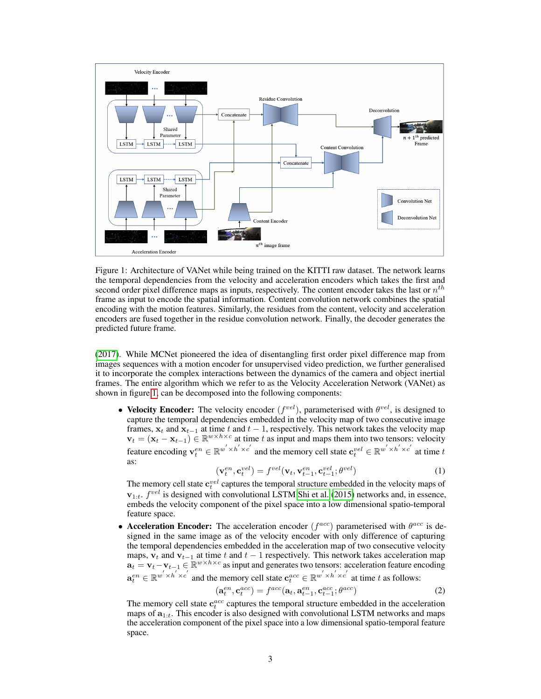

<span id="page-2-0"></span>Figure 1: Architecture of VANet while being trained on the KITTI raw dataset. The network learns the temporal dependencies from the velocity and acceleration encoders which takes the first and second order pixel difference maps as inputs, respectively. The content encoder takes the last or  $n^{th}$ frame as input to encode the spatial information. Content convolution network combines the spatial encoding with the motion features. Similarly, the residues from the content, velocity and acceleration encoders are fused together in the residue convolution network. Finally, the decoder generates the predicted future frame.

[\(2017\)](#page-7-0). While MCNet pioneered the idea of disentangling first order pixel difference map from images sequences with a motion encoder for unsupervised video prediction, we further generalised it to incorporate the complex interactions between the dynamics of the camera and object inertial frames. The entire algorithm which we refer to as the Velocity Acceleration Network (VANet) as shown in figure [1,](#page-2-0) can be decomposed into the following components:

• Velocity Encoder: The velocity encoder  $(f^{vel})$ , parameterised with  $\theta^{vel}$ , is designed to capture the temporal dependencies embedded in the velocity map of two consecutive image frames,  $x_t$  and  $x_{t-1}$  at time t and  $t-1$ , respectively. This network takes the velocity map  $v_t = (x_t - x_{t-1}) \in \mathbb{R}^{w \times h \times c}$  at time t as input and maps them into two tensors: velocity feature encoding  $\mathbf{v}_t^{en} \in \mathbb{R}^{w^{'} \times h^{'} \times c^{'}}$  and the memory cell state  $\mathbf{c}_t^{vel} \in \mathbb{R}^{w^{'} \times h^{'} \times c^{'}}$  at time  $t$ as:

$$
(\mathbf{v}_t^{en}, \mathbf{c}_t^{vel}) = f^{vel}(\mathbf{v}_t, \mathbf{v}_{t-1}^{en}, \mathbf{c}_{t-1}^{vel}; \theta^{vel})
$$
(1)

The memory cell state  $\mathbf{c}_t^{vel}$  captures the temporal structure embedded in the velocity maps of  $v_{1:t}$ .  $f^{vel}$  is designed with convolutional LSTM [Shi et al.](#page-7-6) [\(2015\)](#page-7-6) networks and, in essence, embeds the velocity component of the pixel space into a low dimensional spatio-temporal feature space.

• Acceleration Encoder: The acceleration encoder  $(f^{acc})$  parameterised with  $\theta^{acc}$  is designed in the same image as of the velocity encoder with only difference of capturing the temporal dependencies embedded in the acceleration map of two consecutive velocity maps,  $v_t$  and  $v_{t-1}$  at time t and  $t-1$  respectively. This network takes acceleration map  $\mathbf{a}_t = \mathbf{v}_t - \mathbf{v}_{t-1} \in \mathbb{R}^{w \times h \times c}$  as input and generates two tensors: acceleration feature encoding  $\mathbf{a}_t^{en} \in \mathbb{R}^{w' \times h' \times c'}$  and the memory cell state  $\mathbf{c}_t^{acc} \in \mathbb{R}^{w' \times h' \times c'}$  at time t as follows:

$$
(\mathbf{a}_t^{en}, \mathbf{c}_t^{acc}) = f^{acc}(\mathbf{a}_t, \mathbf{a}_{t-1}^{en}, \mathbf{c}_{t-1}^{acc}; \theta^{acc})
$$
(2)

The memory cell state  $c_t^{acc}$  captures the temporal structure embedded in the acceleration maps of  $a_{1:t}$ . This encoder is also designed with convolutional LSTM networks and maps the acceleration component of the pixel space into a low dimensional spatio-temporal feature space.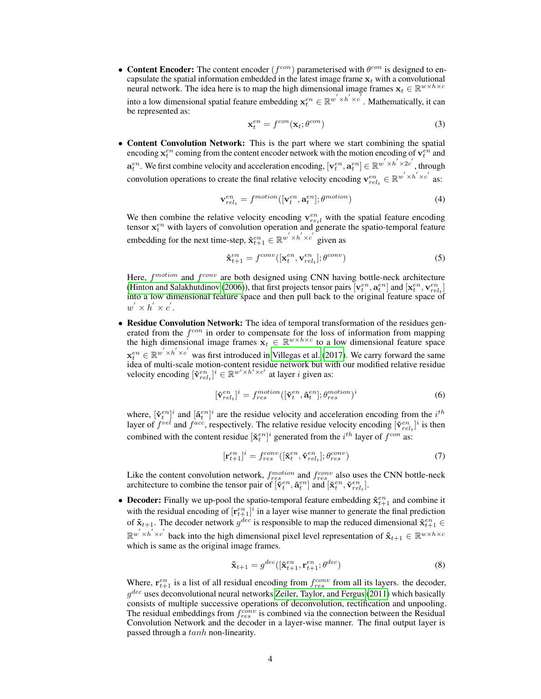• Content Encoder: The content encoder  $(f^{con})$  parameterised with  $\theta^{con}$  is designed to encapsulate the spatial information embedded in the latest image frame  $x_t$  with a convolutional neural network. The idea here is to map the high dimensional image frames  $\mathbf{x}_t \in \mathbb{R}^{w \times h \times c}$ into a low dimensional spatial feature embedding  $\mathbf{x}_t^{en} \in \mathbb{R}^{w' \times h' \times c'}$ . Mathematically, it can be represented as:

$$
\mathbf{x}_t^{en} = f^{con}(\mathbf{x}_t; \theta^{con})
$$
\n(3)

• Content Convolution Network: This is the part where we start combining the spatial encoding  $\mathbf{x}_t^{en}$  coming from the content encoder network with the motion encoding of  $\mathbf{v}_t^{en}$  and  $\mathbf{a}_t^{en}$ . We first combine velocity and acceleration encoding,  $[\mathbf{v}_t^{en}, \mathbf{a}_t^{en}] \in \mathbb{R}^{w' \times h' \times 2c'}$ , through convolution operations to create the final relative velocity encoding  $\mathbf{v}_{rel_t}^{en} \in \mathbb{R}^{w' \times h' \times c'}$  as:

$$
\mathbf{v}_{rel_t}^{en} = f^{motion}([\mathbf{v}_t^{en}, \mathbf{a}_t^{en}]; \theta^{motion})
$$
\n(4)

We then combine the relative velocity encoding  $\mathbf{v}_{rel}^{en}$  with the spatial feature encoding tensor  $x_t^{en}$  with layers of convolution operation and generate the spatio-temporal feature embedding for the next time-step,  $\hat{\mathbf{x}}_{t+1}^{en} \in \mathbb{R}^{w^{'} \times h^{'} \times c^{'}}$  given as

$$
\hat{\mathbf{x}}_{t+1}^{en} = f^{conv}([\mathbf{x}_t^{en}, \mathbf{v}_{rel_t}^{en}]; \theta^{conv})
$$
\n(5)

Here,  $f<sup>motion</sup>$  and  $f<sup>conv</sup>$  are both designed using CNN having bottle-neck architecture [\(Hinton and Salakhutdinov](#page-6-15) [\(2006\)](#page-6-15)), that first projects tensor pairs  $[\mathbf{v}_t^{en}, \mathbf{a}_t^{en}]$  and  $[\mathbf{x}_t^{en}, \mathbf{v}_{rel_t}^{en}]$ into a low dimensional feature space and then pull back to the original feature space of  $w^{'}\times h^{'}\times c^{'}$ .

• Residue Convolution Network: The idea of temporal transformation of the residues generated from the  $f^{con}$  in order to compensate for the loss of information from mapping the high dimensional image frames  $\mathbf{x}_t \in \mathbb{R}^{w \times h \times c}$  to a low dimensional feature space  $\mathbf{x}_t^{en} \in \mathbb{R}^{w' \times h' \times c'}$  was first introduced in [Villegas et al.](#page-7-0) [\(2017\)](#page-7-0). We carry forward the same idea of multi-scale motion-content residue network but with our modified relative residue velocity encoding  $[\tilde{\mathbf{v}}_{rel_t}^{en}]^i \in \mathbb{R}^{w^i \times h^i \times c^i}$  at layer *i* given as:

$$
[\tilde{\mathbf{v}}_{rel_t}^{en}]^i = f_{res}^{motion}([\tilde{\mathbf{v}}_t^{en}, \tilde{\mathbf{a}}_t^{en}]; \theta_{res}^{motion})^i
$$
 (6)

where,  $[\tilde{\mathbf{v}}_t^{en}]^i$  and  $[\tilde{\mathbf{a}}_t^{en}]^i$  are the residue velocity and acceleration encoding from the  $i^{th}$ layer of  $f^{vel}$  and  $f^{acc}$ , respectively. The relative residue velocity encoding  $[\check{\mathbf{v}}_{rel_t}^{en}]^i$  is then combined with the content residue  $[\check{\mathbf{x}}_t^{en}]^i$  generated from the  $i^{th}$  layer of  $f^{con}$  as:

$$
[\mathbf{r}_{t+1}^{en}]^i = f_{res}^{conv}([\mathbf{\check{x}}_t^{en}, \mathbf{\check{v}}_{rel_t}^{en}]; \theta_{res}^{conv})
$$
\n<sup>(7)</sup>

Like the content convolution network,  $f_{res}^{motion}$  and  $f_{res}^{conv}$  also uses the CNN bottle-neck architecture to combine the tensor pair of  $[\check{v}_t^{en}, \check{a}_t^{en}]$  and  $[\check{x}_t^{en}, \check{v}_{rel_t}^{en}]$ .

• Decoder: Finally we up-pool the spatio-temporal feature embedding  $\hat{\mathbf{x}}_{t+1}^{en}$  and combine it with the residual encoding of  $[r_{t+1}^{en}]^i$  in a layer wise manner to generate the final prediction of  $\mathbf{\tilde{x}}_{t+1}$ . The decoder network  $g^{dec}$  is responsible to map the reduced dimensional  $\mathbf{\hat{x}}_{t+1}^{en}$   $\in$  $\mathbb{R}^{w' \times h' \times c'}$  back into the high dimensional pixel level representation of  $\tilde{\mathbf{x}}_{t+1} \in \mathbb{R}^{w \times h \times c'}$ which is same as the original image frames.

$$
\tilde{\mathbf{x}}_{t+1} = g^{dec}([\hat{\mathbf{x}}_{t+1}^{en}, \mathbf{r}_{t+1}^{en}; \theta^{dec})
$$
\n(8)

Where,  $\mathbf{r}_{t+1}^{en}$  is a list of all residual encoding from  $f_{res}^{conv}$  from all its layers. the decoder,  $g^{dec}$  uses deconvolutional neural networks [Zeiler, Taylor, and Fergus](#page-7-7) [\(2011\)](#page-7-7) which basically consists of multiple successive operations of deconvolution, rectification and unpooling. The residual embeddings from  $f_{res}^{\tilde{conv}}$  is combined via the connection between the Residual Convolution Network and the decoder in a layer-wise manner. The final output layer is passed through a tanh non-linearity.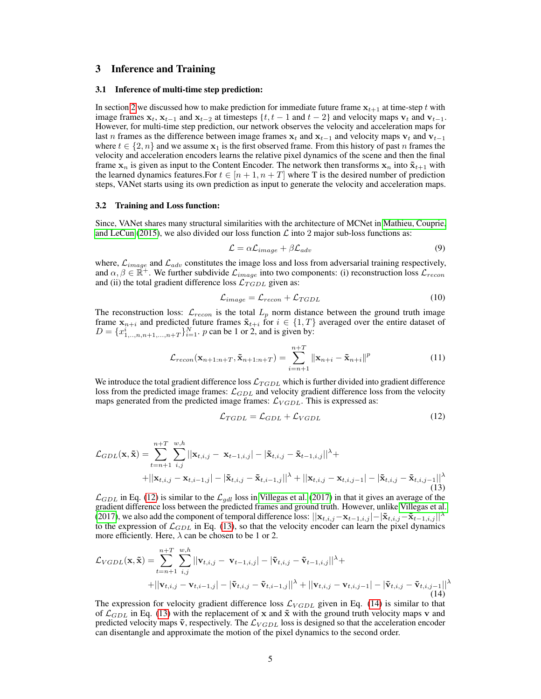## 3 Inference and Training

#### 3.1 Inference of multi-time step prediction:

In section [2](#page-1-0) we discussed how to make prediction for immediate future frame  $x_{t+1}$  at time-step t with image frames  $x_t$ ,  $x_{t-1}$  and  $x_{t-2}$  at timesteps {t, t − 1 and t − 2} and velocity maps  $v_t$  and  $v_{t-1}$ . However, for multi-time step prediction, our network observes the velocity and acceleration maps for last n frames as the difference between image frames  $x_t$  and  $x_{t-1}$  and velocity maps  $v_t$  and  $v_{t-1}$ where  $t \in \{2, n\}$  and we assume  $x_1$  is the first observed frame. From this history of past n frames the velocity and acceleration encoders learns the relative pixel dynamics of the scene and then the final frame  $x_n$  is given as input to the Content Encoder. The network then transforms  $x_n$  into  $\tilde{x}_{t+1}$  with the learned dynamics features. For  $t \in [n+1, n+T]$  where T is the desired number of prediction steps, VANet starts using its own prediction as input to generate the velocity and acceleration maps.

#### 3.2 Training and Loss function:

Since, VANet shares many structural similarities with the architecture of MCNet in [Mathieu, Couprie,](#page-6-3) [and LeCun](#page-6-3) [\(2015\)](#page-6-3), we also divided our loss function  $\mathcal L$  into 2 major sub-loss functions as:

<span id="page-4-3"></span>
$$
\mathcal{L} = \alpha \mathcal{L}_{image} + \beta \mathcal{L}_{adv} \tag{9}
$$

where,  $\mathcal{L}_{image}$  and  $\mathcal{L}_{adv}$  constitutes the image loss and loss from adversarial training respectively, and  $\alpha, \beta \in \mathbb{R}^+$ . We further subdivide  $\mathcal{L}_{image}$  into two components: (i) reconstruction loss  $\mathcal{L}_{recon}$ and (ii) the total gradient difference loss  $\mathcal{L}_{TGDL}$  given as:

$$
\mathcal{L}_{image} = \mathcal{L}_{recon} + \mathcal{L}_{TGDL} \tag{10}
$$

The reconstruction loss:  $\mathcal{L}_{recon}$  is the total  $L_p$  norm distance between the ground truth image frame  $x_{n+i}$  and predicted future frames  $\tilde{x}_{t+i}$  for  $i \in \{1, T\}$  averaged over the entire dataset of  $D = \{x_{1, \ldots, n, n+1, \ldots, n+T}\}_{i=1}^{N}$ . p can be 1 or 2, and is given by:

$$
\mathcal{L}_{recon}(\mathbf{x}_{n+1:n+T}, \tilde{\mathbf{x}}_{n+1:n+T}) = \sum_{i=n+1}^{n+T} ||\mathbf{x}_{n+i} - \tilde{\mathbf{x}}_{n+i}||^p
$$
(11)

We introduce the total gradient difference loss  $\mathcal{L}_{TGDL}$  which is further divided into gradient difference loss from the predicted image frames:  $\mathcal{L}_{GDL}$  and velocity gradient difference loss from the velocity maps generated from the predicted image frames:  $\mathcal{L}_{VGDL}$ . This is expressed as:

<span id="page-4-2"></span><span id="page-4-0"></span>
$$
\mathcal{L}_{TGL} = \mathcal{L}_{GDL} + \mathcal{L}_{VGDL} \tag{12}
$$

<span id="page-4-1"></span>
$$
\mathcal{L}_{GDL}(\mathbf{x}, \tilde{\mathbf{x}}) = \sum_{t=n+1}^{n+T} \sum_{i,j}^{w,h} ||\mathbf{x}_{t,i,j} - \mathbf{x}_{t-1,i,j}|| - |\tilde{\mathbf{x}}_{t,i,j} - \tilde{\mathbf{x}}_{t-1,i,j}||^{\lambda} + + ||\mathbf{x}_{t,i,j} - \mathbf{x}_{t,i-1,j}|| - |\tilde{\mathbf{x}}_{t,i,j} - \tilde{\mathbf{x}}_{t,i-1,j}||^{\lambda} + ||\mathbf{x}_{t,i,j} - \mathbf{x}_{t,i,j-1}|| - |\tilde{\mathbf{x}}_{t,i,j} - \tilde{\mathbf{x}}_{t,i,j-1}||^{\lambda}
$$
\n(13)

 $\mathcal{L}_{GDL}$  in Eq. [\(12\)](#page-4-0) is similar to the  $\mathcal{L}_{gdl}$  loss in [Villegas et al.](#page-7-0) [\(2017\)](#page-7-0) in that it gives an average of the gradient difference loss between the predicted frames and ground truth. However, unlike [Villegas et al.](#page-7-0) [\(2017\)](#page-7-0), we also add the component of temporal difference loss:  $||\mathbf{x}_{t,i,j}-\mathbf{x}_{t-1,i,j}|-|\mathbf{\tilde{x}}_{t,i,j}-\mathbf{\tilde{x}}_{t-1,i,j}||^{\lambda}$ to the expression of  $\mathcal{L}_{GDL}$  in Eq. [\(13\)](#page-4-1), so that the velocity encoder can learn the pixel dynamics more efficiently. Here,  $\lambda$  can be chosen to be 1 or 2.

$$
\mathcal{L}_{VGDL}(\mathbf{x}, \tilde{\mathbf{x}}) = \sum_{t=n+1}^{n+T} \sum_{i,j}^{w,h} ||\mathbf{v}_{t,i,j} - \mathbf{v}_{t-1,i,j}|| - |\tilde{\mathbf{v}}_{t,i,j} - \tilde{\mathbf{v}}_{t-1,i,j}||^{\lambda} + + ||\mathbf{v}_{t,i,j} - \mathbf{v}_{t,i-1,j}|| - |\tilde{\mathbf{v}}_{t,i,j} - \tilde{\mathbf{v}}_{t,i-1,j}||^{\lambda} + ||\mathbf{v}_{t,i,j} - \mathbf{v}_{t,i,j-1}|| - |\tilde{\mathbf{v}}_{t,i,j} - \tilde{\mathbf{v}}_{t,i,j-1}||^{\lambda}
$$
(14)

The expression for velocity gradient difference loss  $\mathcal{L}_{VGDL}$  given in Eq. [\(14\)](#page-4-2) is similar to that of  $\mathcal{L}_{GDL}$  in Eq. [\(13\)](#page-4-1) with the replacement of x and  $\tilde{\mathbf{x}}$  with the ground truth velocity maps v and predicted velocity maps  $\tilde{\mathbf{v}}$ , respectively. The  $\mathcal{L}_{VGDL}$  loss is designed so that the acceleration encoder can disentangle and approximate the motion of the pixel dynamics to the second order.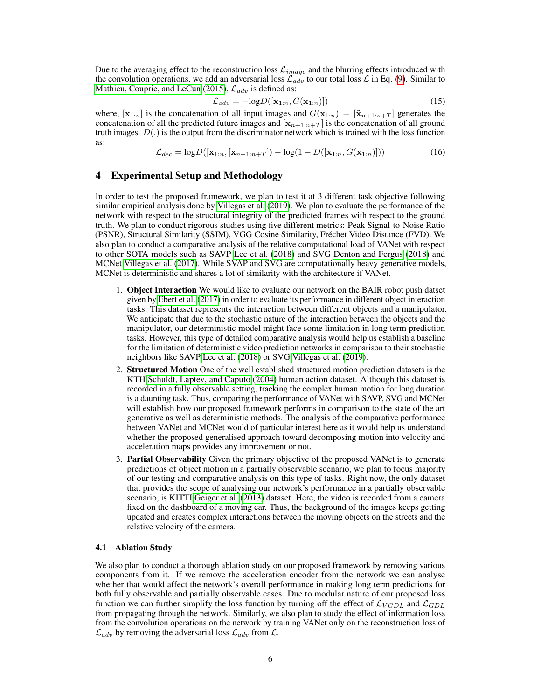Due to the averaging effect to the reconstruction loss  $\mathcal{L}_{image}$  and the blurring effects introduced with the convolution operations, we add an adversarial loss  $\mathcal{L}_{adv}$  to our total loss  $\mathcal{L}$  in Eq. [\(9\)](#page-4-3). Similar to [Mathieu, Couprie, and LeCun](#page-6-3) [\(2015\)](#page-6-3),  $\mathcal{L}_{adv}$  is defined as:

$$
\mathcal{L}_{adv} = -\text{log}D([\mathbf{x}_{1:n}, G(\mathbf{x}_{1:n})]) \tag{15}
$$

where,  $[\mathbf{x}_{1:n}]$  is the concatenation of all input images and  $G(\mathbf{x}_{1:n}) = [\tilde{\mathbf{x}}_{n+1:n+T}]$  generates the concatenation of all the predicted future images and  $[x_{n+1:n+T}]$  is the concatenation of all ground truth images.  $D(.)$  is the output from the discriminator network which is trained with the loss function as:

$$
\mathcal{L}_{dec} = \log D([\mathbf{x}_{1:n}, [\mathbf{x}_{n+1:n+T}]) - \log(1 - D([\mathbf{x}_{1:n}, G(\mathbf{x}_{1:n})]))
$$
(16)

## 4 Experimental Setup and Methodology

In order to test the proposed framework, we plan to test it at 3 different task objective following similar empirical analysis done by [Villegas et al.](#page-7-1) [\(2019\)](#page-7-1). We plan to evaluate the performance of the network with respect to the structural integrity of the predicted frames with respect to the ground truth. We plan to conduct rigorous studies using five different metrics: Peak Signal-to-Noise Ratio (PSNR), Structural Similarity (SSIM), VGG Cosine Similarity, Fréchet Video Distance (FVD). We also plan to conduct a comparative analysis of the relative computational load of VANet with respect to other SOTA models such as SAVP [Lee et al.](#page-6-13) [\(2018\)](#page-6-13) and SVG [Denton and Fergus](#page-6-11) [\(2018\)](#page-6-11) and MCNet [Villegas et al.](#page-7-0) [\(2017\)](#page-7-0). While SVAP and SVG are computationally heavy generative models, MCNet is deterministic and shares a lot of similarity with the architecture if VANet.

- 1. Object Interaction We would like to evaluate our network on the BAIR robot push datset given by [Ebert et al.](#page-6-16) [\(2017\)](#page-6-16) in order to evaluate its performance in different object interaction tasks. This dataset represents the interaction between different objects and a manipulator. We anticipate that due to the stochastic nature of the interaction between the objects and the manipulator, our deterministic model might face some limitation in long term prediction tasks. However, this type of detailed comparative analysis would help us establish a baseline for the limitation of deterministic video prediction networks in comparison to their stochastic neighbors like SAVP [Lee et al.](#page-6-13) [\(2018\)](#page-6-13) or SVG [Villegas et al.](#page-7-1) [\(2019\)](#page-7-1).
- 2. Structured Motion One of the well established structured motion prediction datasets is the KTH [Schuldt, Laptev, and Caputo](#page-6-17) [\(2004\)](#page-6-17) human action dataset. Although this dataset is recorded in a fully observable setting, tracking the complex human motion for long duration is a daunting task. Thus, comparing the performance of VANet with SAVP, SVG and MCNet will establish how our proposed framework performs in comparison to the state of the art generative as well as deterministic methods. The analysis of the comparative performance between VANet and MCNet would of particular interest here as it would help us understand whether the proposed generalised approach toward decomposing motion into velocity and acceleration maps provides any improvement or not.
- 3. Partial Observability Given the primary objective of the proposed VANet is to generate predictions of object motion in a partially observable scenario, we plan to focus majority of our testing and comparative analysis on this type of tasks. Right now, the only dataset that provides the scope of analysing our network's performance in a partially observable scenario, is KITTI [Geiger et al.](#page-6-18) [\(2013\)](#page-6-18) dataset. Here, the video is recorded from a camera fixed on the dashboard of a moving car. Thus, the background of the images keeps getting updated and creates complex interactions between the moving objects on the streets and the relative velocity of the camera.

### 4.1 Ablation Study

We also plan to conduct a thorough ablation study on our proposed framework by removing various components from it. If we remove the acceleration encoder from the network we can analyse whether that would affect the network's overall performance in making long term predictions for both fully observable and partially observable cases. Due to modular nature of our proposed loss function we can further simplify the loss function by turning off the effect of  $\mathcal{L}_{VGDL}$  and  $\mathcal{L}_{GDL}$ from propagating through the network. Similarly, we also plan to study the effect of information loss from the convolution operations on the network by training VANet only on the reconstruction loss of  $\mathcal{L}_{adv}$  by removing the adversarial loss  $\mathcal{L}_{adv}$  from  $\mathcal{L}$ .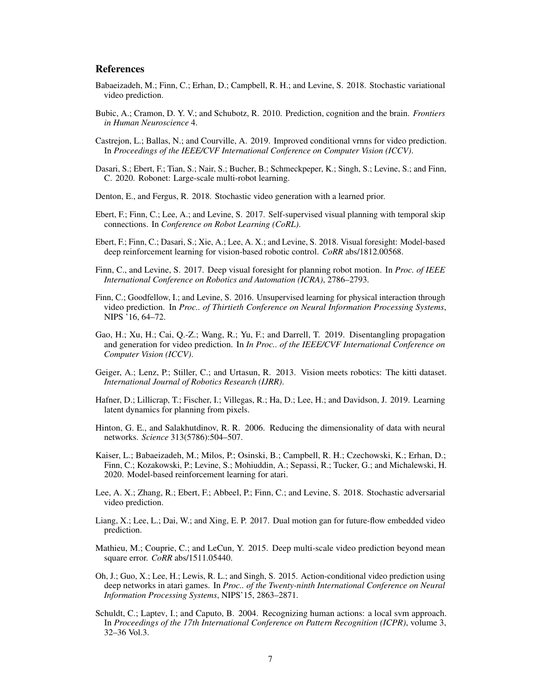## **References**

- <span id="page-6-12"></span>Babaeizadeh, M.; Finn, C.; Erhan, D.; Campbell, R. H.; and Levine, S. 2018. Stochastic variational video prediction.
- <span id="page-6-0"></span>Bubic, A.; Cramon, D. Y. V.; and Schubotz, R. 2010. Prediction, cognition and the brain. *Frontiers in Human Neuroscience* 4.
- <span id="page-6-14"></span>Castrejon, L.; Ballas, N.; and Courville, A. 2019. Improved conditional vrnns for video prediction. In *Proceedings of the IEEE/CVF International Conference on Computer Vision (ICCV)*.
- <span id="page-6-8"></span>Dasari, S.; Ebert, F.; Tian, S.; Nair, S.; Bucher, B.; Schmeckpeper, K.; Singh, S.; Levine, S.; and Finn, C. 2020. Robonet: Large-scale multi-robot learning.
- <span id="page-6-11"></span>Denton, E., and Fergus, R. 2018. Stochastic video generation with a learned prior.
- <span id="page-6-16"></span>Ebert, F.; Finn, C.; Lee, A.; and Levine, S. 2017. Self-supervised visual planning with temporal skip connections. In *Conference on Robot Learning (CoRL)*.
- <span id="page-6-7"></span>Ebert, F.; Finn, C.; Dasari, S.; Xie, A.; Lee, A. X.; and Levine, S. 2018. Visual foresight: Model-based deep reinforcement learning for vision-based robotic control. *CoRR* abs/1812.00568.
- <span id="page-6-2"></span>Finn, C., and Levine, S. 2017. Deep visual foresight for planning robot motion. In *Proc. of IEEE International Conference on Robotics and Automation (ICRA)*, 2786–2793.
- <span id="page-6-1"></span>Finn, C.; Goodfellow, I.; and Levine, S. 2016. Unsupervised learning for physical interaction through video prediction. In *Proc.. of Thirtieth Conference on Neural Information Processing Systems*, NIPS '16, 64–72.
- <span id="page-6-4"></span>Gao, H.; Xu, H.; Cai, Q.-Z.; Wang, R.; Yu, F.; and Darrell, T. 2019. Disentangling propagation and generation for video prediction. In *In Proc.. of the IEEE/CVF International Conference on Computer Vision (ICCV)*.
- <span id="page-6-18"></span>Geiger, A.; Lenz, P.; Stiller, C.; and Urtasun, R. 2013. Vision meets robotics: The kitti dataset. *International Journal of Robotics Research (IJRR)*.
- <span id="page-6-6"></span>Hafner, D.; Lillicrap, T.; Fischer, I.; Villegas, R.; Ha, D.; Lee, H.; and Davidson, J. 2019. Learning latent dynamics for planning from pixels.
- <span id="page-6-15"></span>Hinton, G. E., and Salakhutdinov, R. R. 2006. Reducing the dimensionality of data with neural networks. *Science* 313(5786):504–507.
- <span id="page-6-5"></span>Kaiser, L.; Babaeizadeh, M.; Milos, P.; Osinski, B.; Campbell, R. H.; Czechowski, K.; Erhan, D.; Finn, C.; Kozakowski, P.; Levine, S.; Mohiuddin, A.; Sepassi, R.; Tucker, G.; and Michalewski, H. 2020. Model-based reinforcement learning for atari.
- <span id="page-6-13"></span>Lee, A. X.; Zhang, R.; Ebert, F.; Abbeel, P.; Finn, C.; and Levine, S. 2018. Stochastic adversarial video prediction.
- <span id="page-6-10"></span>Liang, X.; Lee, L.; Dai, W.; and Xing, E. P. 2017. Dual motion gan for future-flow embedded video prediction.
- <span id="page-6-3"></span>Mathieu, M.; Couprie, C.; and LeCun, Y. 2015. Deep multi-scale video prediction beyond mean square error. *CoRR* abs/1511.05440.
- <span id="page-6-9"></span>Oh, J.; Guo, X.; Lee, H.; Lewis, R. L.; and Singh, S. 2015. Action-conditional video prediction using deep networks in atari games. In *Proc.. of the Twenty-ninth International Conference on Neural Information Processing Systems*, NIPS'15, 2863–2871.
- <span id="page-6-17"></span>Schuldt, C.; Laptev, I.; and Caputo, B. 2004. Recognizing human actions: a local svm approach. In *Proceedings of the 17th International Conference on Pattern Recognition (ICPR)*, volume 3, 32–36 Vol.3.